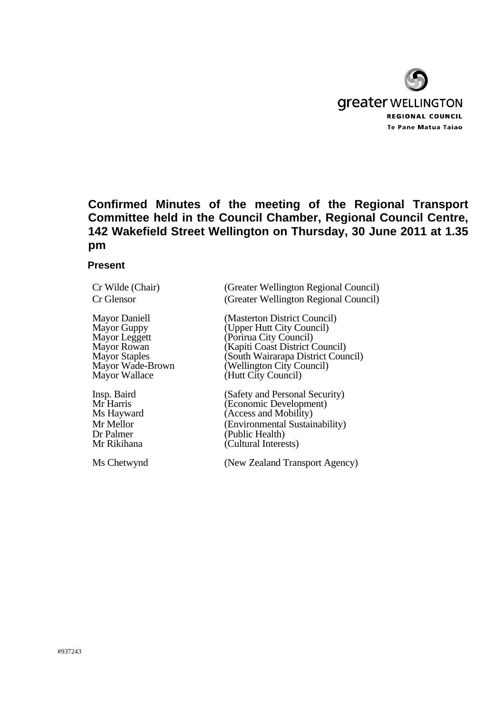

# **Confirmed Minutes of the meeting of the Regional Transport Committee held in the Council Chamber, Regional Council Centre, 142 Wakefield Street Wellington on Thursday, 30 June 2011 at 1.35 pm**

### **Present**

Cr Wilde (Chair) (Greater Wellington Regional Council) Cr Glensor (Greater Wellington Regional Council)

Mayor Daniell (Masterton District Council)<br>
Mayor Guppy (Upper Hutt City Council) Mayor Guppy (Upper Hutt City Council)<br>
Mayor Leggett (Porirua City Council) Mayor Leggett (Porirua City Council)<br>
Mayor Rowan (Kapiti Coast District 0 Mayor Rowan (Kapiti Coast District Council)<br>
Mayor Staples (South Wairarapa District Coun Mayor Staples (South Wairarapa District Council)<br>
Mayor Wade-Brown (Wellington City Council) Mayor Wade-Brown (Wellington City Council)<br>Mayor Wallace (Hutt City Council) (Hutt City Council)

Insp. Baird (Safety and Personal Security)<br>
Mr Harris (Economic Development) Mr Harris (Economic Development)<br>
Ms Hayward (Access and Mobility) (Access and Mobility) Mr Mellor (Environmental Sustainability)<br>
Dr Palmer (Public Health) Dr Palmer (Public Health)<br>Mr Rikihana (Cultural Intere (Cultural Interests)

Ms Chetwynd (New Zealand Transport Agency)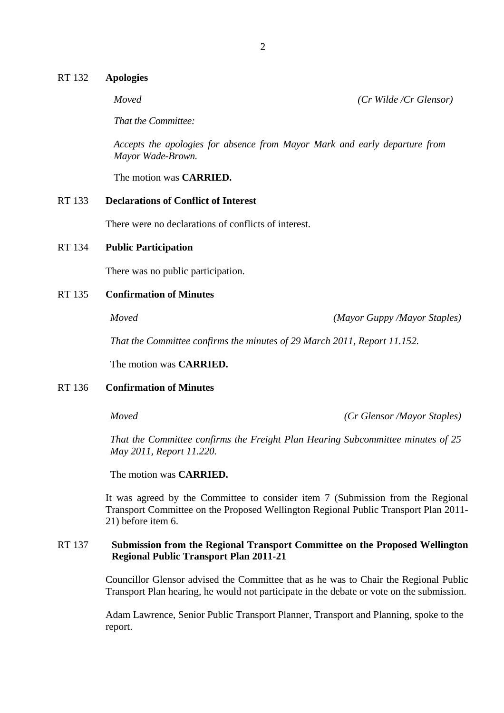#### RT 132 **Apologies**

*That the Committee:*

*Accepts the apologies for absence from Mayor Mark and early departure from Mayor Wade-Brown.* 

The motion was **CARRIED.**

## RT 133 **Declarations of Conflict of Interest**

There were no declarations of conflicts of interest.

#### RT 134 **Public Participation**

There was no public participation.

# RT 135 **Confirmation of Minutes**

*Moved (Mayor Guppy /Mayor Staples)*

*That the Committee confirms the minutes of 29 March 2011, Report 11.152.* 

The motion was **CARRIED.** 

## RT 136 **Confirmation of Minutes**

*Moved (Cr Glensor /Mayor Staples)*

*That the Committee confirms the Freight Plan Hearing Subcommittee minutes of 25 May 2011, Report 11.220.* 

The motion was **CARRIED.** 

It was agreed by the Committee to consider item 7 (Submission from the Regional Transport Committee on the Proposed Wellington Regional Public Transport Plan 2011- 21) before item 6.

# RT 137 **Submission from the Regional Transport Committee on the Proposed Wellington Regional Public Transport Plan 2011-21**

Councillor Glensor advised the Committee that as he was to Chair the Regional Public Transport Plan hearing, he would not participate in the debate or vote on the submission.

Adam Lawrence, Senior Public Transport Planner, Transport and Planning, spoke to the report.

*Moved (Cr Wilde /Cr Glensor)*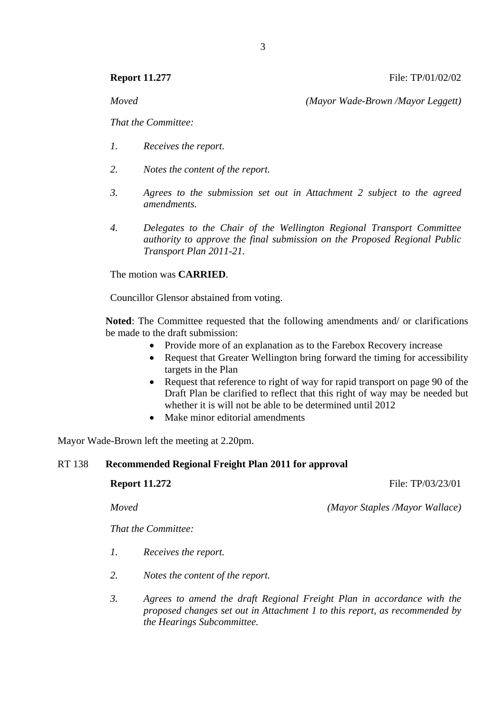*Moved (Mayor Wade-Brown /Mayor Leggett)*

*That the Committee:*

- *1. Receives the report.*
- *2. Notes the content of the report.*
- *3. Agrees to the submission set out in Attachment 2 subject to the agreed amendments.*
- *4. Delegates to the Chair of the Wellington Regional Transport Committee authority to approve the final submission on the Proposed Regional Public Transport Plan 2011-21.*

The motion was **CARRIED**.

Councillor Glensor abstained from voting.

**Noted**: The Committee requested that the following amendments and/ or clarifications be made to the draft submission:

- Provide more of an explanation as to the Farebox Recovery increase
- Request that Greater Wellington bring forward the timing for accessibility targets in the Plan
- Request that reference to right of way for rapid transport on page 90 of the Draft Plan be clarified to reflect that this right of way may be needed but whether it is will not be able to be determined until 2012
- Make minor editorial amendments

Mayor Wade-Brown left the meeting at 2.20pm.

# RT 138 **Recommended Regional Freight Plan 2011 for approval**

**Report 11.272 File: TP**/03/23/01

*Moved (Mayor Staples /Mayor Wallace)*

*That the Committee:*

- *1. Receives the report.*
- *2. Notes the content of the report.*
- *3. Agrees to amend the draft Regional Freight Plan in accordance with the proposed changes set out in Attachment 1 to this report, as recommended by the Hearings Subcommittee.*

**Report 11.277 File: TP/01/02/02**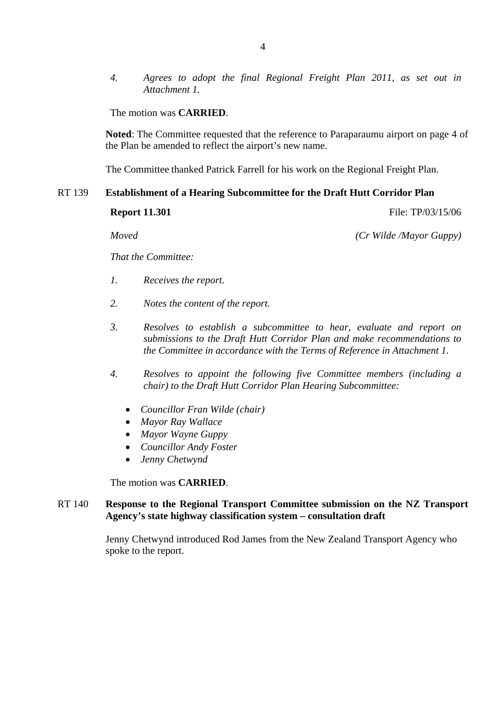*4. Agrees to adopt the final Regional Freight Plan 2011, as set out in Attachment 1.* 

The motion was **CARRIED**.

**Noted**: The Committee requested that the reference to Paraparaumu airport on page 4 of the Plan be amended to reflect the airport's new name.

The Committee thanked Patrick Farrell for his work on the Regional Freight Plan.

# RT 139 **Establishment of a Hearing Subcommittee for the Draft Hutt Corridor Plan**

**Report 11.301** File: TP/03/15/06

*Moved (Cr Wilde /Mayor Guppy)*

*That the Committee:*

- *1. Receives the report.*
- *2. Notes the content of the report.*
- *3. Resolves to establish a subcommittee to hear, evaluate and report on submissions to the Draft Hutt Corridor Plan and make recommendations to the Committee in accordance with the Terms of Reference in Attachment 1.*
- *4. Resolves to appoint the following five Committee members (including a chair) to the Draft Hutt Corridor Plan Hearing Subcommittee:* 
	- *Councillor Fran Wilde (chair)*
	- *Mayor Ray Wallace*
	- *Mayor Wayne Guppy*
	- *Councillor Andy Foster*
	- *Jenny Chetwynd*

The motion was **CARRIED**.

# RT 140 **Response to the Regional Transport Committee submission on the NZ Transport Agency's state highway classification system – consultation draft**

Jenny Chetwynd introduced Rod James from the New Zealand Transport Agency who spoke to the report.